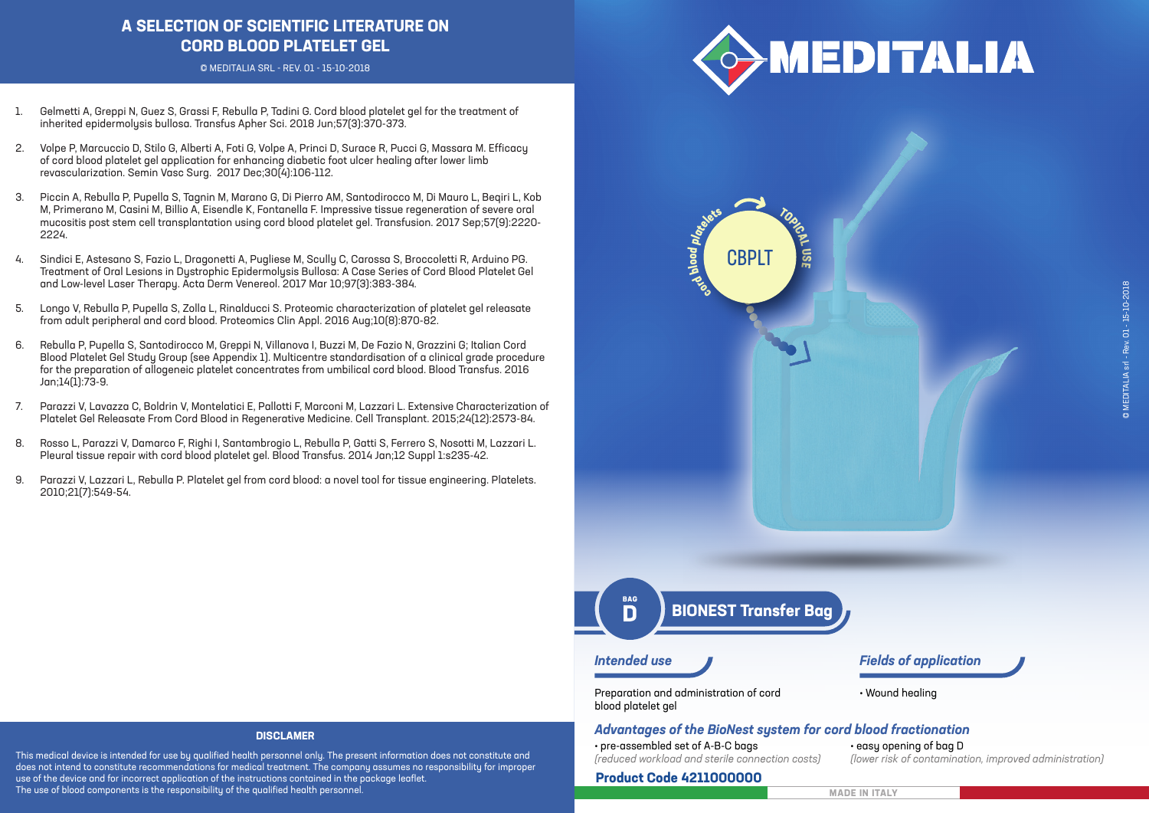# **A SELECTION OF SCIENTIFIC LITERATURE ON CORD BLOOD PLATELET GEL**

© MEDITALIA SRL - REV. 01 - 15-10-2018



**TOPICAL**

**U**<u>ဟ</u> **E**

- 1. Gelmetti A, Greppi N, Guez S, Grassi F, Rebulla P, Tadini G. Cord blood platelet gel for the treatment of inherited epidermolysis bullosa. Transfus Apher Sci. 2018 Jun;57(3):370-373.
- 2. Volpe P, Marcuccio D, Stilo G, Alberti A, Foti G, Volpe A, Princi D, Surace R, Pucci G, Massara M. Efficacy of cord blood platelet gel application for enhancing diabetic foot ulcer healing after lower limb revascularization. Semin Vasc Surg. 2017 Dec;30(4):106-112.
- 3. Piccin A, Rebulla P, Pupella S, Tagnin M, Marano G, Di Pierro AM, Santodirocco M, Di Mauro L, Beqiri L, Kob M, Primerano M, Casini M, Billio A, Eisendle K, Fontanella F. Impressive tissue regeneration of severe oral mucositis post stem cell transplantation using cord blood platelet gel. Transfusion. 2017 Sep;57(9):2220- 2224.
- 4. Sindici E, Astesano S, Fazio L, Dragonetti A, Pugliese M, Scully C, Carossa S, Broccoletti R, Arduino PG. Treatment of Oral Lesions in Dystrophic Epidermolysis Bullosa: A Case Series of Cord Blood Platelet Gel and Low-level Laser Therapy. Acta Derm Venereol. 2017 Mar 10;97(3):383-384.
- 5. Longo V, Rebulla P, Pupella S, Zolla L, Rinalducci S. Proteomic characterization of platelet gel releasate from adult peripheral and cord blood. Proteomics Clin Appl. 2016 Aug;10(8):870-82.
- 6. Rebulla P, Pupella S, Santodirocco M, Greppi N, Villanova I, Buzzi M, De Fazio N, Grazzini G; Italian Cord Blood Platelet Gel Study Group (see Appendix 1). Multicentre standardisation of a clinical grade procedure for the preparation of allogeneic platelet concentrates from umbilical cord blood. Blood Transfus. 2016 Jan;14(1):73-9.
- 7. Parazzi V, Lavazza C, Boldrin V, Montelatici E, Pallotti F, Marconi M, Lazzari L. Extensive Characterization of Platelet Gel Releasate From Cord Blood in Regenerative Medicine. Cell Transplant. 2015;24(12):2573-84.
- 8. Rosso L, Parazzi V, Damarco F, Righi I, Santambrogio L, Rebulla P, Gatti S, Ferrero S, Nosotti M, Lazzari L. Pleural tissue repair with cord blood platelet gel. Blood Transfus. 2014 Jan;12 Suppl 1:s235-42.
- 9. Parazzi V, Lazzari L, Rebulla P. Platelet gel from cord blood: a novel tool for tissue engineering. Platelets. 2010;21(7):549-54.

# **BIONEST Transfer Bag**

**cord b ol od**

**platelets**

C<sub>BPI</sub>

**BAG** 

# *Intended use Fields of application*

Preparation and administration of cord blood platelet gel

• Wound healing

## *Advantages of the BioNest system for cord blood fractionation*

• pre-assembled set of A-B-C bags *(reduced workload and sterile connection costs)*

#### **Product Code 4211000000**

• easy opening of bag D *(lower risk of contamination, improved administration)*

# **MADE IN ITALY**

#### **DISCLAMER**

This medical device is intended for use by qualified health personnel only. The present information does not constitute and does not intend to constitute recommendations for medical treatment. The company assumes no responsibility for improper use of the device and for incorrect application of the instructions contained in the package leaflet. The use of blood components is the responsibility of the qualified health personnel.